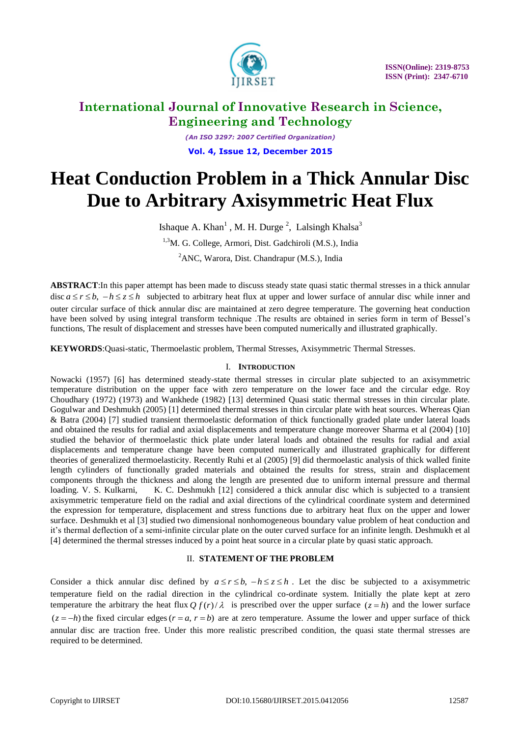

*(An ISO 3297: 2007 Certified Organization)* **Vol. 4, Issue 12, December 2015**

# **Heat Conduction Problem in a Thick Annular Disc Due to Arbitrary Axisymmetric Heat Flux**

Ishaque A. Khan<sup>1</sup>, M. H. Durge<sup>2</sup>, Lalsingh Khalsa<sup>3</sup>

<sup>1,3</sup>M. G. College, Armori, Dist. Gadchiroli (M.S.), India

<sup>2</sup>ANC, Warora, Dist. Chandrapur (M.S.), India

**ABSTRACT**:In this paper attempt has been made to discuss steady state quasi static thermal stresses in a thick annular disc  $a \le r \le b$ ,  $-h \le z \le h$  subjected to arbitrary heat flux at upper and lower surface of annular disc while inner and outer circular surface of thick annular disc are maintained at zero degree temperature. The governing heat conduction have been solved by using integral transform technique .The results are obtained in series form in term of Bessel's functions, The result of displacement and stresses have been computed numerically and illustrated graphically.

**KEYWORDS**:Quasi-static, Thermoelastic problem, Thermal Stresses, Axisymmetric Thermal Stresses.

#### I. **INTRODUCTION**

Nowacki (1957) [6] has determined steady-state thermal stresses in circular plate subjected to an axisymmetric temperature distribution on the upper face with zero temperature on the lower face and the circular edge. Roy Choudhary (1972) (1973) and Wankhede (1982) [13] determined Quasi static thermal stresses in thin circular plate. Gogulwar and Deshmukh (2005) [1] determined thermal stresses in thin circular plate with heat sources. Whereas Qian & Batra (2004) [7] studied transient thermoelastic deformation of thick functionally graded plate under lateral loads and obtained the results for radial and axial displacements and temperature change moreover Sharma et al (2004) [10] studied the behavior of thermoelastic thick plate under lateral loads and obtained the results for radial and axial displacements and temperature change have been computed numerically and illustrated graphically for different theories of generalized thermoelasticity. Recently Ruhi et al (2005) [9] did thermoelastic analysis of thick walled finite length cylinders of functionally graded materials and obtained the results for stress, strain and displacement components through the thickness and along the length are presented due to uniform internal pressure and thermal loading. V. S. Kulkarni, K. C. Deshmukh [12] considered a thick annular disc which is subjected to a transient axisymmetric temperature field on the radial and axial directions of the cylindrical coordinate system and determined the expression for temperature, displacement and stress functions due to arbitrary heat flux on the upper and lower surface. Deshmukh et al [3] studied two dimensional nonhomogeneous boundary value problem of heat conduction and it's thermal deflection of a semi-infinite circular plate on the outer curved surface for an infinite length. Deshmukh et al [4] determined the thermal stresses induced by a point heat source in a circular plate by quasi static approach.

#### II. **STATEMENT OF THE PROBLEM**

Consider a thick annular disc defined by  $a \le r \le b$ ,  $-h \le z \le h$ . Let the disc be subjected to a axisymmetric temperature field on the radial direction in the cylindrical co-ordinate system. Initially the plate kept at zero temperature the arbitrary the heat flux  $Q f(r)/\lambda$  is prescribed over the upper surface  $(z = h)$  and the lower surface  $(z = -h)$  the fixed circular edges  $(r = a, r = b)$  are at zero temperature. Assume the lower and upper surface of thick annular disc are traction free. Under this more realistic prescribed condition, the quasi state thermal stresses are required to be determined.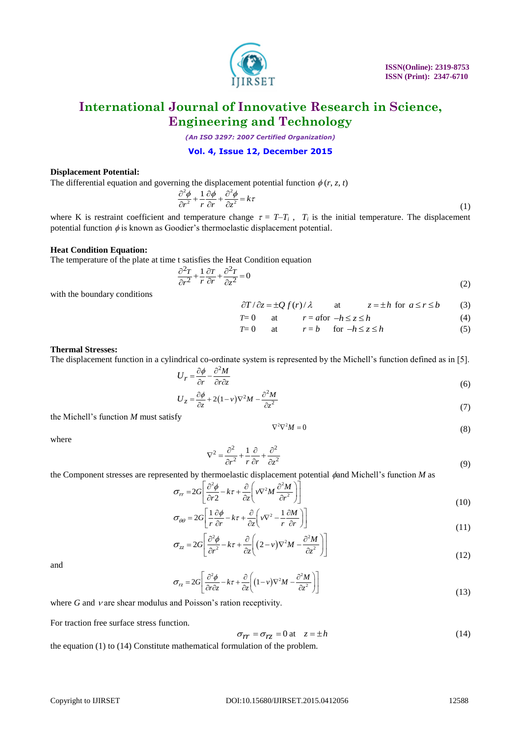

*(An ISO 3297: 2007 Certified Organization)*

#### **Vol. 4, Issue 12, December 2015**

#### **Displacement Potential:**

The differential equation and governing the displacement potential function  $\phi(r, z, t)$ <br>  $\frac{\partial^2 \phi}{\partial \phi}$   $1 \frac{\partial \phi}{\partial \phi}$   $\frac{\partial^2 \phi}{\partial z}$ 

$$
\frac{\partial^2 \phi}{\partial r^2} + \frac{1}{r} \frac{\partial \phi}{\partial r} + \frac{\partial^2 \phi}{\partial z^2} = k\tau
$$
\n(1)

where K is restraint coefficient and temperature change  $\tau = T - T_i$ ,  $T_i$  is the initial temperature. The displacement potential function  $\phi$  is known as Goodier's thermoelastic displacement potential.

#### **Heat Condition Equation:**

The temperature of the plate at time t satisfies the Heat Condition equation<br>  $\frac{\partial^2 T}{\partial t^2} + 1 \frac{\partial^2 T}{\partial t^2} = 0$ 

$$
\frac{\partial^2 T}{\partial r^2} + \frac{1}{r} \frac{\partial T}{\partial r} + \frac{\partial^2 T}{\partial z^2} = 0
$$
\n(2)

with the boundary conditions

$$
\frac{\partial T}{\partial z} = \pm Q f(r) / \lambda \qquad \text{at} \qquad z = \pm h \text{ for } a \le r \le b \tag{3}
$$

$$
T=0 \qquad \text{at} \qquad r = a \text{for } -h \le z \le h \tag{4}
$$

$$
T=0 \qquad \text{at} \qquad r=b \qquad \text{for } -h \le z \le h \tag{5}
$$

#### **Thermal Stresses:**

The displacement function in a cylindrical co-ordinate system is represented by the Michell's function defined as in [5].

$$
U_r = \frac{\partial \phi}{\partial r} - \frac{\partial^2 M}{\partial r \partial z} \tag{6}
$$

$$
U_z = \frac{\partial \phi}{\partial z} + 2(1 - v)\nabla^2 M - \frac{\partial^2 M}{\partial z^2}
$$
\n(6)

the Michell's function *M* must satisfy

$$
\nabla^2 \nabla^2 M = 0 \tag{8}
$$

where

$$
\nabla^2 = \frac{\partial^2}{\partial r^2} + \frac{1}{r} \frac{\partial}{\partial r} + \frac{\partial^2}{\partial z^2}
$$
(9)

the Component stresses are represented by thermoelastic displacement potential 
$$
\phi
$$
 and Michell's function *M* as  
\n
$$
\sigma_{rr} = 2G \left[ \frac{\partial^2 \phi}{\partial r^2} - k\tau + \frac{\partial}{\partial z} \left( v \nabla^2 M \frac{\partial^2 M}{\partial r^2} \right) \right]
$$
\n
$$
\sigma_{\theta\theta} = 2G \left[ \frac{1}{2} \frac{\partial \phi}{\partial r} - k\tau + \frac{\partial}{\partial z} \left( v \nabla^2 - \frac{1}{2} \frac{\partial M}{\partial r} \right) \right]
$$
\n(10)

$$
\sigma_{\theta\theta} = 2G \left[ \frac{1}{r} \frac{\partial \phi}{\partial r} - k\tau + \frac{\partial}{\partial z} \left( v \nabla^2 - \frac{1}{r} \frac{\partial M}{\partial r} \right) \right]
$$
(10)

$$
\sigma_{\theta\theta} = 2G \left[ \frac{z}{r} \frac{\partial^2 \phi}{\partial r} - k\tau + \frac{\partial}{\partial z} \left( v \nabla^2 - \frac{\partial^2 u}{r} \right) \right]
$$
\n
$$
\sigma_{zz} = 2G \left[ \frac{\partial^2 \phi}{\partial r^2} - k\tau + \frac{\partial}{\partial z} \left( (2 - v) \nabla^2 M - \frac{\partial^2 M}{\partial z^2} \right) \right]
$$
\n(11)

and

$$
\sigma_{rz} = 2G \left[ \frac{\partial^2 \phi}{\partial r \partial z} - k\tau + \frac{\partial}{\partial z} \left( (1 - v)\nabla^2 M - \frac{\partial^2 M}{\partial z^2} \right) \right]
$$
(12)

where  $G$  and  $\nu$  are shear modulus and Poisson's ration receptivity.

For traction free surface stress function.

$$
\sigma_{rr} = \sigma_{rz} = 0 \text{ at } z = \pm h \tag{14}
$$

the equation (1) to (14) Constitute mathematical formulation of the problem.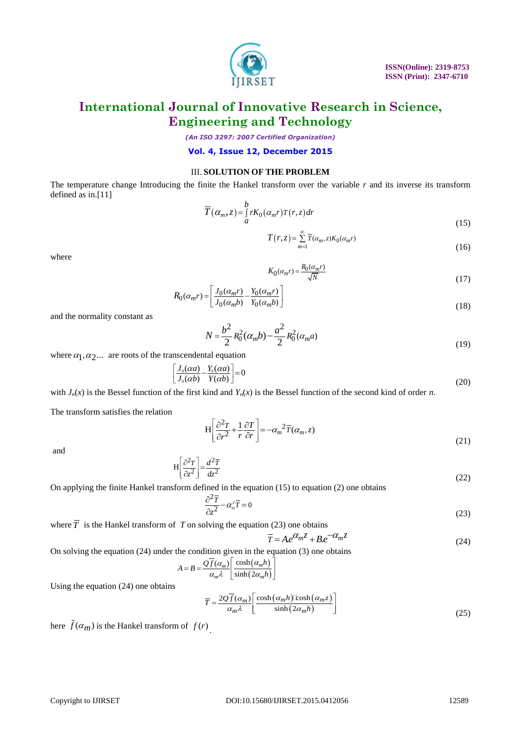

*(An ISO 3297: 2007 Certified Organization)*

**Vol. 4, Issue 12, December 2015**

#### III. **SOLUTION OF THE PROBLEM**

The temperature change Introducing the finite the Hankel transform over the variable *r* and its inverse its transform defined as in.[11]

$$
\overline{T}(\alpha_m, z) = \int_a^b r K_0(\alpha_m r) T(r, z) dr
$$
\n(15)

$$
T(r,z) = \sum_{m=1}^{\infty} \overline{T}(\alpha_m, z) K_0(\alpha_m r)
$$
\n(16)

where

$$
K_0(\alpha_m r) = \frac{R_0(\alpha_m r)}{\sqrt{N}}
$$
\n(17)

$$
R_0(\alpha_m r) = \left[ \frac{J_0(\alpha_m r)}{J_0(\alpha_m b)} - \frac{Y_0(\alpha_m r)}{Y_0(\alpha_m b)} \right]
$$
(17)

and the normality constant as

$$
N = \frac{b^2}{2} R_0^2(\alpha_m b) - \frac{a^2}{2} R_0^2(\alpha_m a)
$$
\n(19)

where  $\alpha_1, \alpha_2, \ldots$  are roots of the transcendental equation

$$
\left[\frac{J_0(aa)}{J_0(ab)} - \frac{Y_0(aa)}{Y(ab)}\right] = 0\tag{20}
$$

with  $J_n(x)$  is the Bessel function of the first kind and  $Y_n(x)$  is the Bessel function of the second kind of order *n*.

The transform satisfies the relation

$$
H\left[\frac{\partial^2 T}{\partial r^2} + \frac{1}{r} \frac{\partial T}{\partial r}\right] = -\alpha_m{}^2 \overline{T}(\alpha_m, z)
$$
\n(21)

and

$$
H\left[\frac{\partial^2 T}{\partial z^2}\right] = \frac{d^2 \overline{T}}{dz^2} \tag{22}
$$

On applying the finite Hankel transform defined in the equation (15) to equation (2) one obtains

$$
\frac{\partial^2 \overline{T}}{\partial z^2} - \alpha_m^2 \overline{T} = 0 \tag{23}
$$

where  $\overline{T}$  is the Hankel transform of *T* on solving the equation (23) one obtains<br> $\overline{T} = Ae^{\alpha_m z} + Be^{-\alpha_m z}$ 

$$
\overline{T} = Ae^{\alpha_m z} + Be^{-\alpha_m z} \tag{24}
$$

On solving the equation (24) under the condition given in the equation (3) one obtains <br>  $A = B = \frac{Q\overline{f}(\alpha_m)}{q\lambda} \left[ \frac{\cosh(\alpha_m h)}{\sinh(2\alpha_h h)} \right]$ 

$$
A = B = \frac{Q\overline{f}(\alpha_m)}{\alpha_m \lambda} \left[ \frac{\cosh(\alpha_m h)}{\sinh(2\alpha_m h)} \right]
$$

Using the equation (24) one obtains

$$
\overline{T} = \frac{2Q\overline{f}(\alpha_m)}{\alpha_m \lambda} \left[ \frac{\cosh(\alpha_m h)\cosh(\alpha_m z)}{\sinh(2\alpha_m h)} \right]
$$
(25)

here  $f(\alpha_m)$  is the Hankel transform of  $f(r)$ .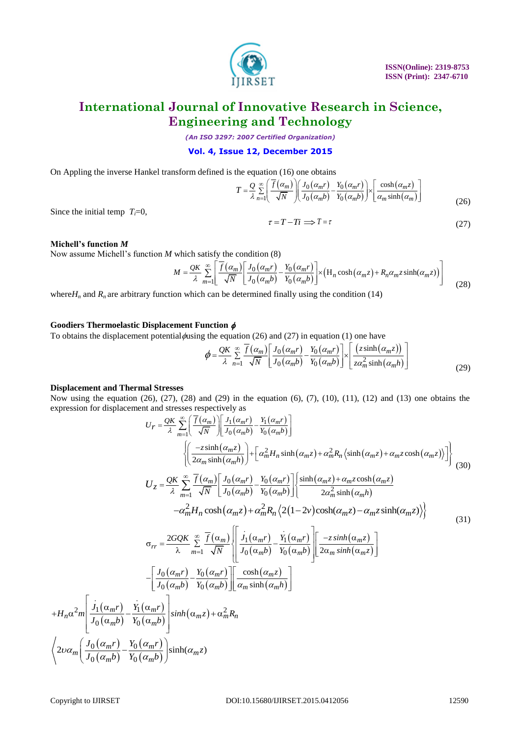

*(An ISO 3297: 2007 Certified Organization)*

#### **Vol. 4, Issue 12, December 2015**

On Applying the inverse Hankel transform defined is the equation (16) one obtains  
\n
$$
T = \frac{Q}{\lambda} \sum_{n=1}^{\infty} \left[ \frac{\overline{f}(\alpha_m)}{\sqrt{N}} \right] \left( \frac{J_0(\alpha_m r)}{J_0(\alpha_m b)} - \frac{Y_0(\alpha_m r)}{Y_0(\alpha_m b)} \right] \times \left[ \frac{\cosh(\alpha_m z)}{\alpha_m \sinh(\alpha_m)} \right]
$$
\n(26)

Since the initial temp  $T_i=0$ ,

$$
\tau = T - Ti \implies T = \tau \tag{27}
$$

**Michell's function** *M*

Now assume Michell's function *M* which satisfy the condition (8)

which satisfy the condition (8)  
\n
$$
M = \frac{QK}{\lambda} \sum_{m=1}^{\infty} \left[ \frac{\overline{f}(\alpha_m)}{\sqrt{N}} \left[ \frac{J_0(\alpha_m r)}{J_0(\alpha_m b)} - \frac{Y_0(\alpha_m r)}{Y_0(\alpha_m b)} \right] \times \left( H_n \cosh(\alpha_m z) + R_n \alpha_m z \sinh(\alpha_m z) \right) \right]
$$
\n(28)

where $H_n$  and  $R_n$  are arbitrary function which can be determined finally using the condition (14)

#### **Goodiers Thermoelastic Displacement Function**

**Goodiers Thermolelastic Displacement Function** 
$$
\phi
$$
  
\nTo obtains the displacement potential  $\phi$  is the equation (26) and (27) in equation (1) one have  
\n
$$
\phi = \frac{QK}{\lambda} \sum_{n=1}^{\infty} \frac{\overline{f}(\alpha_m)}{\sqrt{N}} \left[ \frac{J_0(\alpha_m r)}{J_0(\alpha_m b)} - \frac{Y_0(\alpha_m r)}{Y_0(\alpha_m b)} \right] \times \left[ \frac{(z \sinh(\alpha_m z))}{z \alpha_m^2 \sinh(\alpha_m h)} \right]
$$
\n(29)

#### **Displacement and Thermal Stresses**

Now using the equation (26), (27), (28) and (29) in the equation (6), (7), (10), (11), (12) and (13) one obtains the

expression for displacement and stresses respectively as  
\n
$$
U_r = \frac{QK}{\lambda} \sum_{m=1}^{\infty} \left[ \frac{\overline{f}(\alpha_m)}{\sqrt{N}} \right] \left[ \frac{J_1(\alpha_m r)}{J_0(\alpha_m b)} - \frac{Y_1(\alpha_m r)}{Y_0(\alpha_m b)} \right]
$$
\n
$$
\left\{ \left( \frac{-z \sinh(\alpha_m z)}{2\alpha_m \sinh(\alpha_m h)} \right) + \left[ \alpha_m^2 H_n \sinh(\alpha_m z) + \alpha_m^2 R_n \left( \sinh(\alpha_m z) + \alpha_m z \cosh(\alpha_m z) \right) \right] \right\}
$$
\n
$$
U_z = \frac{QK}{\lambda} \sum_{m=1}^{\infty} \frac{\overline{f}(\alpha_m)}{\sqrt{N}} \left[ \frac{J_0(\alpha_m r)}{J_0(\alpha_m b)} - \frac{Y_0(\alpha_m r)}{Y_0(\alpha_m b)} \right] \left\{ \frac{\sinh(\alpha_m z) + \alpha_m z \cosh(\alpha_m z)}{2\alpha_m^2 \sinh(\alpha_m b)} - \alpha_m^2 H_n \cosh(\alpha_m z) + \alpha_m^2 H_n \left( 2(1 - 2v) \cosh(\alpha_m z) - \alpha_m z \sinh(\alpha_m z) \right) \right\}
$$
\n
$$
G_{rr} = \frac{2GQK}{\lambda} \sum_{m=1}^{\infty} \frac{\overline{f}(\alpha_m)}{\sqrt{N}} \left[ \frac{J_1(\alpha_m r)}{J_0(\alpha_m b)} - \frac{Y_1(\alpha_m r)}{Y_0(\alpha_m b)} \right] \left[ \frac{-z \sinh(\alpha_m z)}{2\alpha_m \sinh(\alpha_m z)} \right]
$$
\n
$$
- \left[ \frac{J_0(\alpha_m r)}{J_0(\alpha_m b)} - \frac{Y_0(\alpha_m r)}{Y_0(\alpha_m b)} \right] \left[ \frac{\cosh(\alpha_m z)}{\alpha_m \sinh(\alpha_m h)} \right]
$$
\n
$$
+ H_n \alpha^2 m \left[ \frac{J_1(\alpha_m r)}{J_0(\alpha_m b)} - \frac{Y_1(\alpha_m r)}{Y_0(\alpha_m b)} \right] \sinh(\alpha_m z) + \alpha_m^2 R_n
$$
\n
$$
\left\{ 2\nu\alpha_m \left( \frac{J_0(\alpha_m r)}{J_0(\alpha_m b)} - \frac{Y_0(\alpha
$$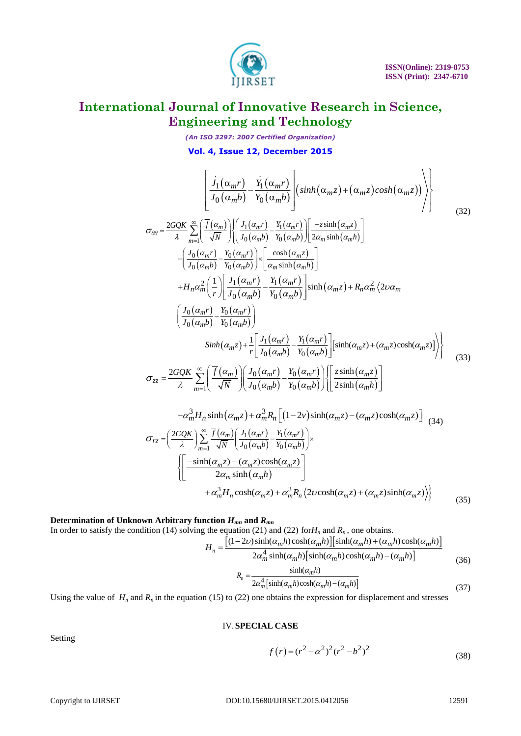

*(An ISO 3297: 2007 Certified Organization)*

$$
Vol. 4, I \text{ s} such 12, December 2015
$$
\n
$$
\left\{\n\frac{j_1(\alpha_m r)}{J_0(\alpha_m b)} - \frac{\dot{Y}_1(\alpha_m r)}{Y_0(\alpha_m b)}\n\right\}\n\left\{\n\sinh(\alpha_m z) + (\alpha_m z) \cosh(\alpha_m z)\n\right\}\n\right\}\n\sigma_{\theta\theta} = \n\frac{2GQK}{\lambda} \sum_{m=1}^{\infty} \left\{\n\frac{\bar{f}(\alpha_m)}{\sqrt{N}}\n\right\}\n\left\{\n\frac{J_1(\alpha_m r)}{J_0(\alpha_m b)} - \frac{Y_1(\alpha_m r)}{Y_0(\alpha_m b)}\n\right\}\n\left[\n-\frac{2\sinh(\alpha_m z)}{2\alpha_m \sinh(\alpha_m h)}\n\right]\n\left.\n\left.\n-\n\frac{J_0(\alpha_m r)}{J_0(\alpha_m b)} - \frac{Y_0(\alpha_m r)}{Y_0(\alpha_m b)}\n\right]\n\right\}\n+ H_n \alpha_m^2 \left(\n\frac{1}{r}\n\right)\n\left[\n\frac{J_1(\alpha_m r)}{J_0(\alpha_m b)} - \frac{Y_1(\alpha_m r)}{Y_0(\alpha_m b)}\n\right]\n\sinh(\alpha_m z) + R_n \alpha_m^2 \left\{\n2\nu \alpha_m\n\right\}\n\left(\n\frac{J_0(\alpha_m r)}{J_0(\alpha_m b)} - \frac{Y_0(\alpha_m r)}{Y_0(\alpha_m b)}\n\right)\n\left.\n\sinh(\alpha_m z) + \frac{Y_1(\alpha_m r)}{Y_0(\alpha_m b)}\n\right\}\n\left\{\n\frac{\sinh(\alpha_m z) + (\alpha_m z) \cosh(\alpha_m z)}{J_0(\alpha_m b)}\n\right\}\n\left\{\n\frac{z \sinh(\alpha_m z) + (\alpha_m z) \cosh(\alpha_m z)}{Z_0 \sinh(\alpha_m b)}\n\right\}\n\left\{\n\frac{z \sinh(\alpha_m z)}{2\sinh(\alpha_m b)}\n\right\}\n\left\{\n\frac{\alpha_m^3 H_n \sinh(\alpha_m z) + \alpha_m^3 R_n \left[(1 - 2\nu)\sinh(\alpha_m z) - (\alpha_m z) \cosh(\alpha_m z)\n\right]}{2\alpha_m \sin(\alpha_m b)}\n\right\}\n\left\{\n\frac{\theta_m}{
$$

$$
\begin{split} \n\tau_{rz} &= \left(\frac{2GQK}{\lambda}\right) \sum_{m=1}^{\infty} \frac{\overline{f}(\alpha_m)}{\sqrt{N}} \left(\frac{J_1(\alpha_m r)}{J_0(\alpha_m b)} - \frac{Y_1(\alpha_m r)}{Y_0(\alpha_m b)}\right) \times \\ & \left(\left[\frac{-\sinh(\alpha_m z) - (\alpha_m z)\cosh(\alpha_m z)}{2\alpha_m \sinh(\alpha_m h)}\right] \right. \\ &\left. + \alpha_m^3 H_n \cosh(\alpha_m z) + \alpha_m^3 R_n \left\langle 2\nu \cosh(\alpha_m z) + (\alpha_m z)\sinh(\alpha_m z) \right\rangle \right\rangle \end{split} \tag{35}
$$

### **Determination of Unknown Arbitrary function** *Hmn* **and** *Rmn*

In order to satisfy the condition (14) solving the equation (21) and (22) for $H_n$  and  $R_n$ , one obtains.

function 
$$
H_{mn}
$$
 and  $R_{mn}$ 

\ng the equation (21) and (22) for  $H_n$  and  $R_n$ , one obtains.

\n
$$
H_n = \frac{\left[ (1 - 2\nu) \sinh(\alpha_m h) \cosh(\alpha_m h) \right] \left[ \sinh(\alpha_m h) + (\alpha_m h) \cosh(\alpha_m h) \right]}{2\alpha_m^4 \sinh(\alpha_m h) \left[ \sinh(\alpha_m h) \cosh(\alpha_m h) - (\alpha_m h) \right]}
$$
\n(36)

\n
$$
R_n = \frac{\sinh(\alpha_m h)}{2\alpha_m^4 \left[ \sinh(\alpha_m h) \cosh(\alpha_m h) - (\alpha_m h) \right]}
$$
\n(37)

Using the value of  $H_n$  and  $R_n$  in the equation (15) to (22) one obtains the expression for displacement and stresses

#### IV.**SPECIAL CASE**

$$
f(r) = (r^2 - \alpha^2)^2 (r^2 - b^2)^2
$$
\n(38)

Setting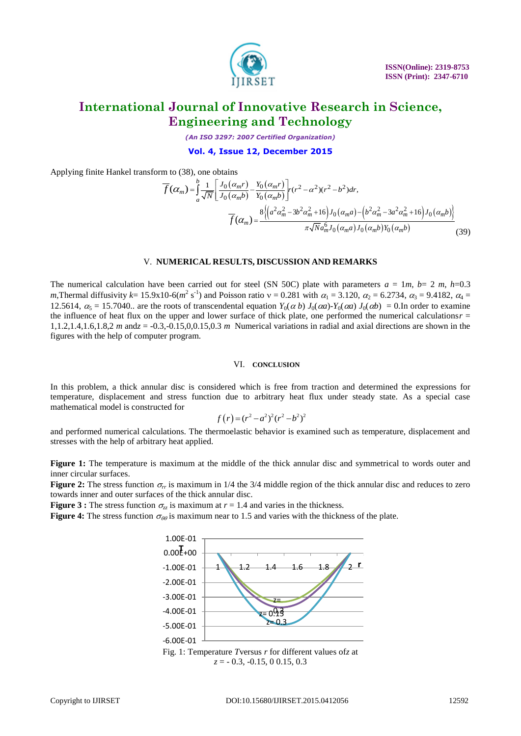

*(An ISO 3297: 2007 Certified Organization)*

**Vol. 4, Issue 12, December 2015**

Applying finite Hankel transform to (38), one obtains

n to (38), one obtains  
\n
$$
\overline{f}(\alpha_m) = \int_{a}^{b} \frac{1}{\sqrt{N}} \left[ \frac{J_0(\alpha_m r)}{J_0(\alpha_m b)} - \frac{Y_0(\alpha_m r)}{Y_0(\alpha_m b)} \right] r(r^2 - \alpha^2)(r^2 - b^2) dr,
$$
\n
$$
\overline{f}(\alpha_m) = \frac{8 \left\{ \left( a^2 \alpha_m^2 - 3b^2 \alpha_m^2 + 16 \right) J_0(\alpha_m a) - \left( b^2 \alpha_m^2 - 3a^2 \alpha_m^2 + 16 \right) J_0(\alpha_m b) \right\}}{\pi \sqrt{N} a_m^6 J_0(\alpha_m a) J_0(\alpha_m b) Y_0(\alpha_m b)}
$$
\n(39)

#### V. **NUMERICAL RESULTS, DISCUSSION AND REMARKS**

The numerical calculation have been carried out for steel (SN 50C) plate with parameters  $a = 1m$ ,  $b = 2m$ ,  $h=0.3$ *m*,Thermal diffusivity *k*= 15.9x10-6( $m^2$  s<sup>-1</sup>) and Poisson ratio  $v = 0.281$  with  $\alpha_1 = 3.120$ ,  $\alpha_2 = 6.2734$ ,  $\alpha_3 = 9.4182$ ,  $\alpha_4 =$ 12.5614,  $\alpha_s = 15.7040$ .. are the roots of transcendental equation  $Y_0(\alpha b) J_0(\alpha a)$ - $Y_0(\alpha a) J_0(\alpha b) = 0$ . In order to examine the influence of heat flux on the upper and lower surface of thick plate, one performed the numerical calculations $r =$ 1,1.2,1.4,1.6,1.8,2 *m* and*z* = -0.3,-0.15,0,0.15,0.3 *m* Numerical variations in radial and axial directions are shown in the figures with the help of computer program.

#### VI. **CONCLUSION**

In this problem, a thick annular disc is considered which is free from traction and determined the expressions for temperature, displacement and stress function due to arbitrary heat flux under steady state. As a special case mathematical model is constructed for

$$
f(r)=(r^2-a^2)^2(r^2-b^2)^2
$$

and performed numerical calculations. The thermoelastic behavior is examined such as temperature, displacement and stresses with the help of arbitrary heat applied.

**Figure 1:** The temperature is maximum at the middle of the thick annular disc and symmetrical to words outer and inner circular surfaces.

**Figure 2:** The stress function  $\sigma_r$  is maximum in 1/4 the 3/4 middle region of the thick annular disc and reduces to zero towards inner and outer surfaces of the thick annular disc.

**Figure 3 :** The stress function  $\sigma_{z}$  is maximum at  $r = 1.4$  and varies in the thickness.

**Figure 4:** The stress function  $\sigma_{\theta\theta}$  is maximum near to 1.5 and varies with the thickness of the plate.



Fig. 1: Temperature *T*versus *r* for different values of*z* at *z* = - 0.3, -0.15, 0 0.15, 0.3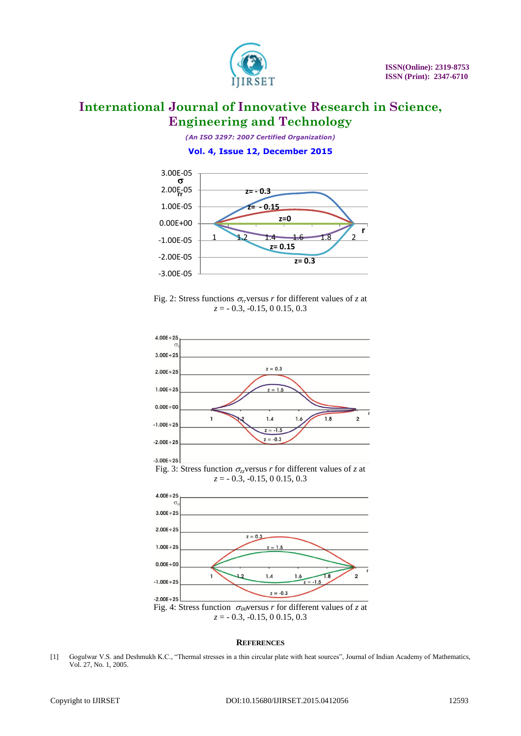

*(An ISO 3297: 2007 Certified Organization)*

#### **Vol. 4, Issue 12, December 2015**



Fig. 2: Stress functions  $\sigma_r$  versus *r* for different values of *z* at *z* = - 0.3, -0.15, 0 0.15, 0.3



#### **REFERENCES**

[1] Gogulwar V.S. and Deshmukh K.C., "Thermal stresses in a thin circular plate with heat sources", Journal of Indian Academy of Mathematics, Vol. 27, No. 1, 2005.